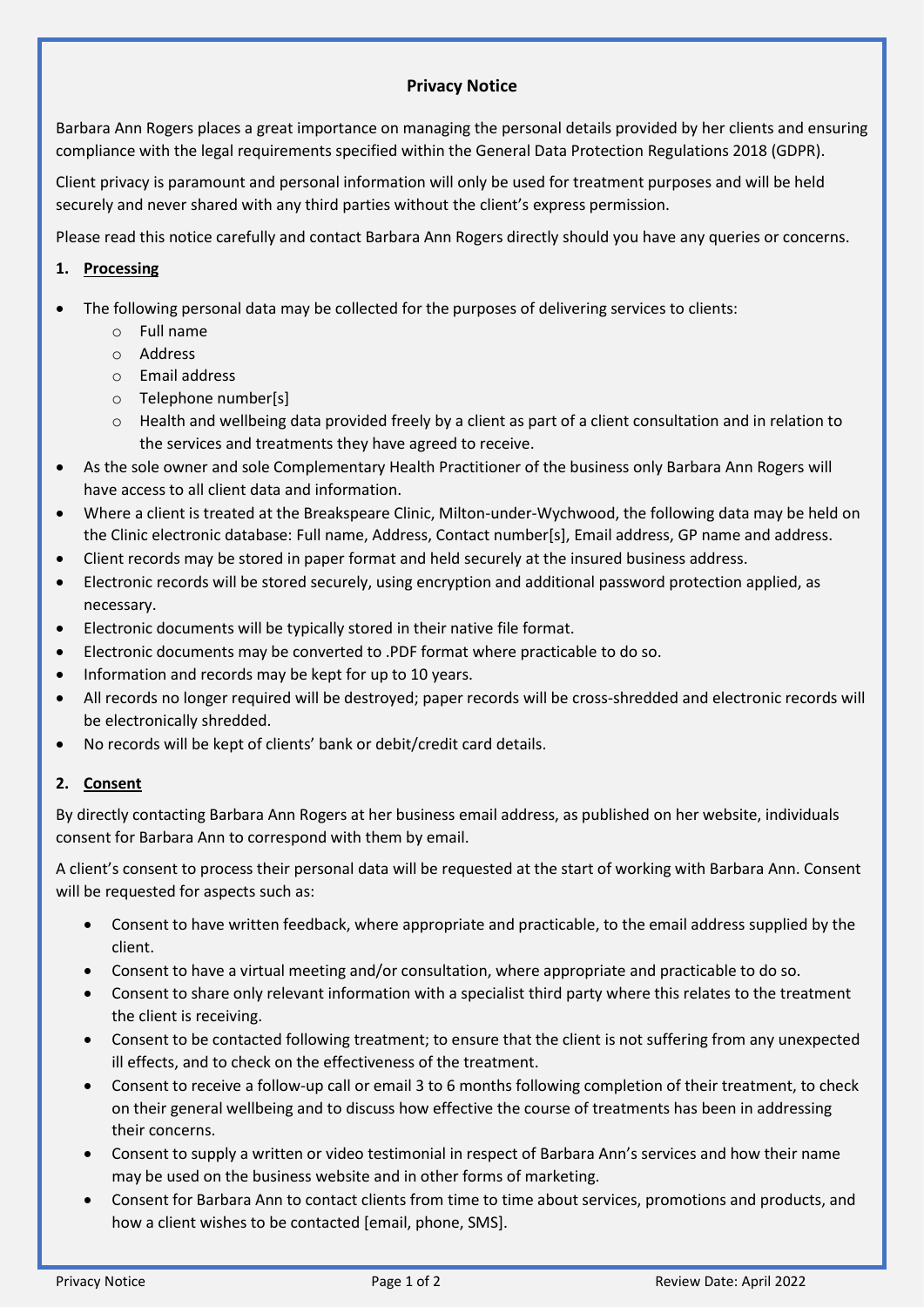## **Privacy Notice**

Barbara Ann Rogers places a great importance on managing the personal details provided by her clients and ensuring compliance with the legal requirements specified within the General Data Protection Regulations 2018 (GDPR).

Client privacy is paramount and personal information will only be used for treatment purposes and will be held securely and never shared with any third parties without the client's express permission.

Please read this notice carefully and contact Barbara Ann Rogers directly should you have any queries or concerns.

## **1. Processing**

- The following personal data may be collected for the purposes of delivering services to clients:
	- o Full name
	- o Address
	- o Email address
	- o Telephone number[s]
	- $\circ$  Health and wellbeing data provided freely by a client as part of a client consultation and in relation to the services and treatments they have agreed to receive.
- As the sole owner and sole Complementary Health Practitioner of the business only Barbara Ann Rogers will have access to all client data and information.
- Where a client is treated at the Breakspeare Clinic, Milton-under-Wychwood, the following data may be held on the Clinic electronic database: Full name, Address, Contact number[s], Email address, GP name and address.
- Client records may be stored in paper format and held securely at the insured business address.
- Electronic records will be stored securely, using encryption and additional password protection applied, as necessary.
- Electronic documents will be typically stored in their native file format.
- Electronic documents may be converted to .PDF format where practicable to do so.
- Information and records may be kept for up to 10 years.
- All records no longer required will be destroyed; paper records will be cross-shredded and electronic records will be electronically shredded.
- No records will be kept of clients' bank or debit/credit card details.

## **2. Consent**

By directly contacting Barbara Ann Rogers at her business email address, as published on her website, individuals consent for Barbara Ann to correspond with them by email.

A client's consent to process their personal data will be requested at the start of working with Barbara Ann. Consent will be requested for aspects such as:

- Consent to have written feedback, where appropriate and practicable, to the email address supplied by the client.
- Consent to have a virtual meeting and/or consultation, where appropriate and practicable to do so.
- Consent to share only relevant information with a specialist third party where this relates to the treatment the client is receiving.
- Consent to be contacted following treatment; to ensure that the client is not suffering from any unexpected ill effects, and to check on the effectiveness of the treatment.
- Consent to receive a follow-up call or email 3 to 6 months following completion of their treatment, to check on their general wellbeing and to discuss how effective the course of treatments has been in addressing their concerns.
- Consent to supply a written or video testimonial in respect of Barbara Ann's services and how their name may be used on the business website and in other forms of marketing.
- Consent for Barbara Ann to contact clients from time to time about services, promotions and products, and how a client wishes to be contacted [email, phone, SMS].